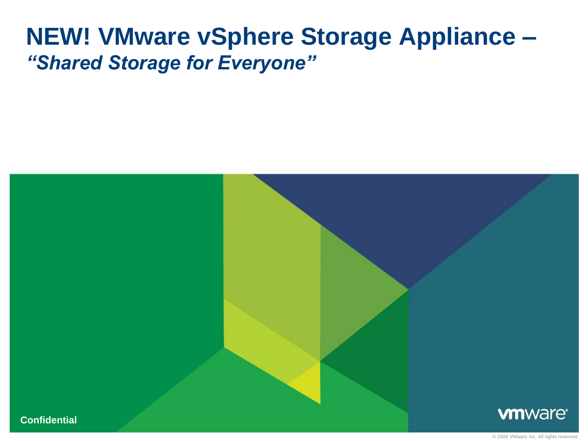# **NEW! VMware vSphere Storage Appliance –** *"Shared Storage for Everyone"*

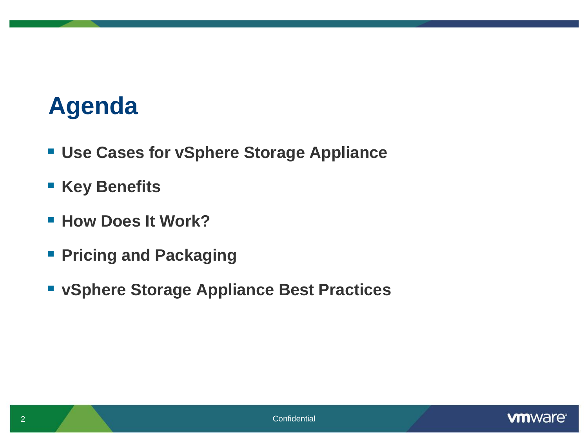# **Agenda**

- **Use Cases for vSphere Storage Appliance**
- **Key Benefits**
- **How Does It Work?**
- **Pricing and Packaging**
- **vSphere Storage Appliance Best Practices**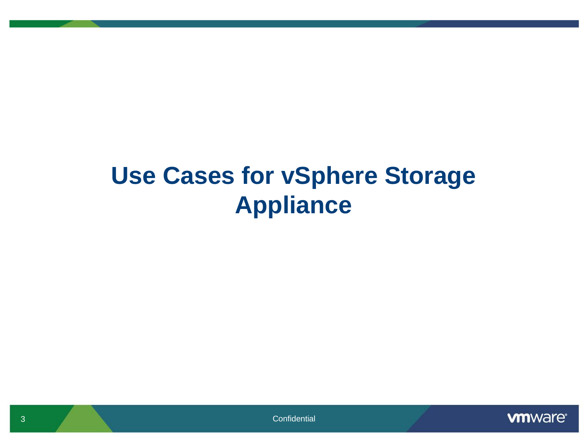# **Use Cases for vSphere Storage Appliance**

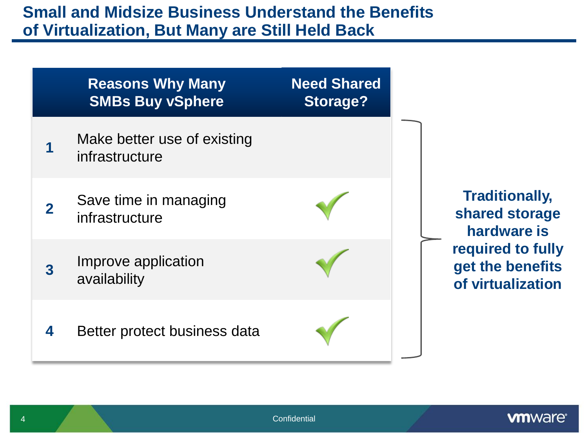#### **Small and Midsize Business Understand the Benefits of Virtualization, But Many are Still Held Back**

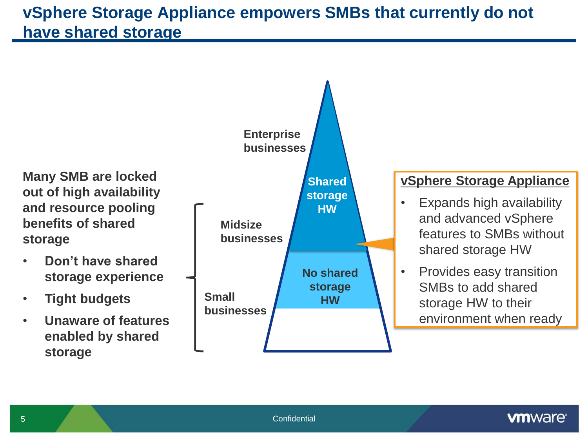### **vSphere Storage Appliance empowers SMBs that currently do not have shared storage**

**Enterprise businesses Midsize businesses Small Shared storage HW No shared storage HW Many SMB are locked out of high availability and resource pooling benefits of shared storage** • **Don't have shared storage experience** • **Tight budgets vSphere Storage Appliance**  • Expands high availability and advanced vSphere features to SMBs without shared storage HW • Provides easy transition SMBs to add shared storage HW to their

• **Unaware of features enabled by shared storage**



environment when ready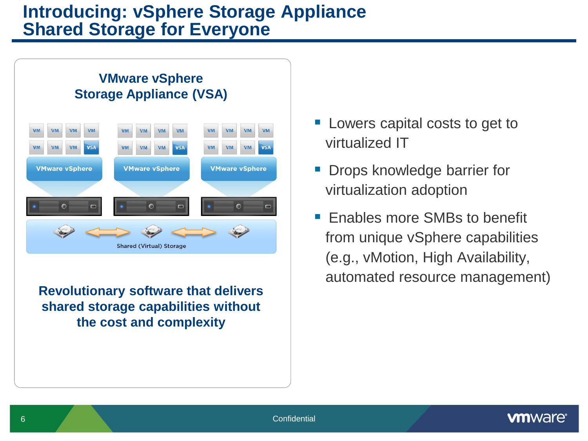#### **Introducing: vSphere Storage Appliance Shared Storage for Everyone**



**Revolutionary software that delivers shared storage capabilities without the cost and complexity**

- **Lowers capital costs to get to** virtualized IT
- Drops knowledge barrier for virtualization adoption
- Enables more SMBs to benefit from unique vSphere capabilities (e.g., vMotion, High Availability, automated resource management)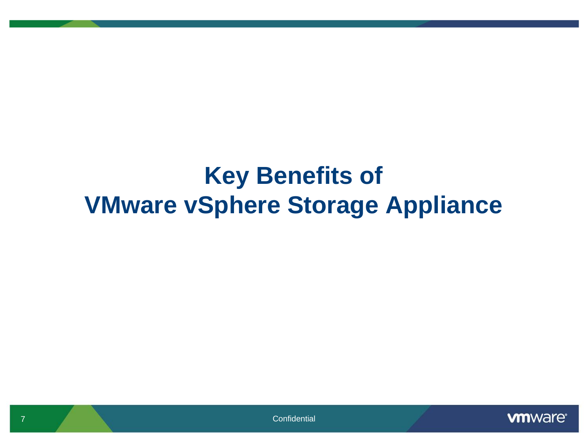# **Key Benefits of VMware vSphere Storage Appliance**



**7** Confidential Confidential Confidential Confidential Confidential Confidential Confidential Confidential Confidential Confidential Confidential Confidential Confidential Confidential Confidential Confidential Confidenti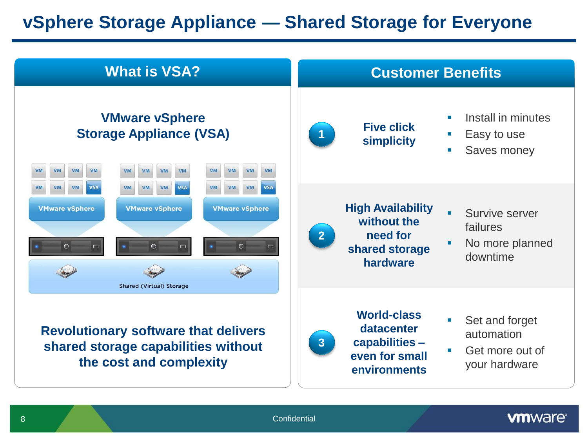## **vSphere Storage Appliance — Shared Storage for Everyone**

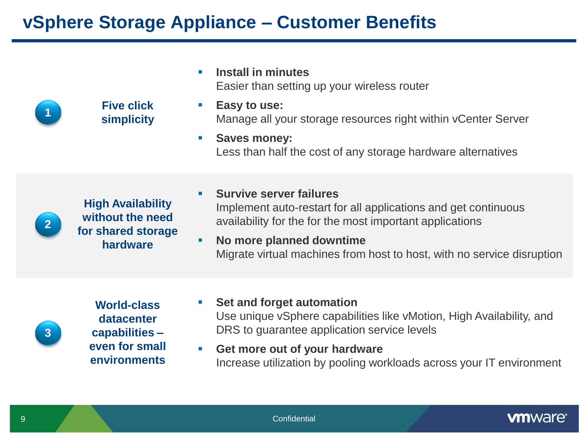### **vSphere Storage Appliance – Customer Benefits**

|   |                                                                    | <b>Install in minutes</b><br>ш<br>Easier than setting up your wireless router                                                                                                               |
|---|--------------------------------------------------------------------|---------------------------------------------------------------------------------------------------------------------------------------------------------------------------------------------|
|   | <b>Five click</b><br>simplicity                                    | Easy to use:<br>$\mathcal{C}^{\mathcal{A}}$<br>Manage all your storage resources right within vCenter Server                                                                                |
|   |                                                                    | <b>Saves money:</b><br><b>College</b><br>Less than half the cost of any storage hardware alternatives                                                                                       |
|   | <b>High Availability</b><br>without the need<br>for shared storage | <b>Survive server failures</b><br>$\mathcal{L}_{\mathcal{A}}$<br>Implement auto-restart for all applications and get continuous<br>availability for the for the most important applications |
|   | hardware                                                           | No more planned downtime<br>$\mathcal{L}_{\mathcal{A}}$<br>Migrate virtual machines from host to host, with no service disruption                                                           |
|   | <b>World-class</b><br>datacenter                                   | Set and forget automation<br>Use unique vSphere capabilities like vMotion, High Availability, and                                                                                           |
| 3 | capabilities -                                                     | DRS to guarantee application service levels                                                                                                                                                 |

 **Get more out of your hardware**  Increase utilization by pooling workloads across your IT environment

**even for small environments**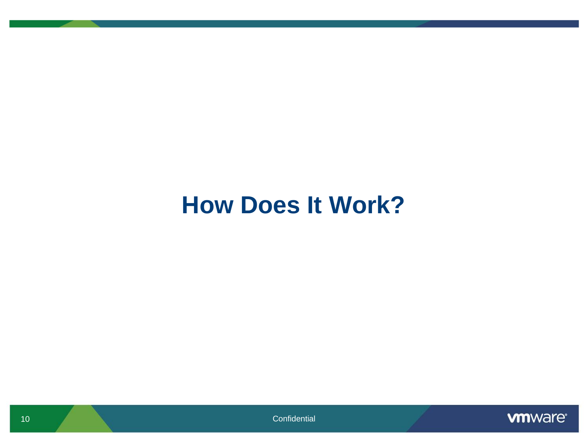# **How Does It Work?**

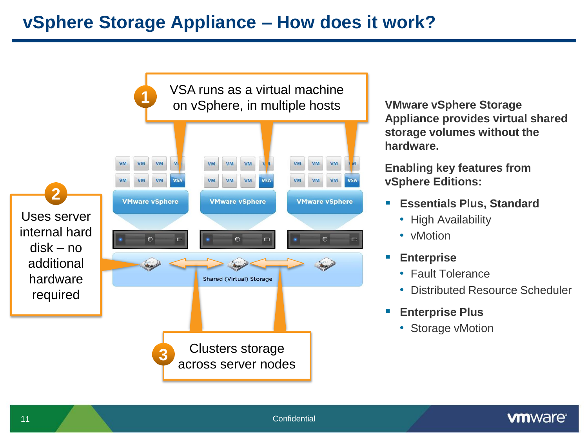

**VMware vSphere Storage Appliance provides virtual shared storage volumes without the hardware.**

**Enabling key features from vSphere Editions:** 

- **Essentials Plus, Standard**
	- High Availability
	- vMotion
- **Enterprise** 
	- Fault Tolerance
	- Distributed Resource Scheduler
- **Enterprise Plus**
	- Storage vMotion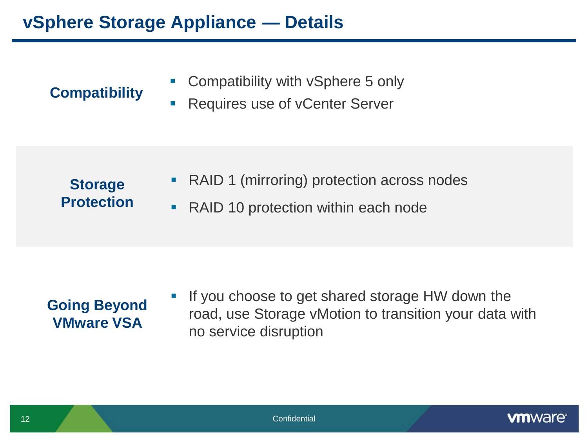### **vSphere Storage Appliance — Details**

### **Compatibility**

- **Compatibility with vSphere 5 only**
- **Requires use of vCenter Server**

#### **Storage Protection**

- RAID 1 (mirroring) protection across nodes
- RAID 10 protection within each node

### **Going Beyond VMware VSA**

 If you choose to get shared storage HW down the road, use Storage vMotion to transition your data with no service disruption

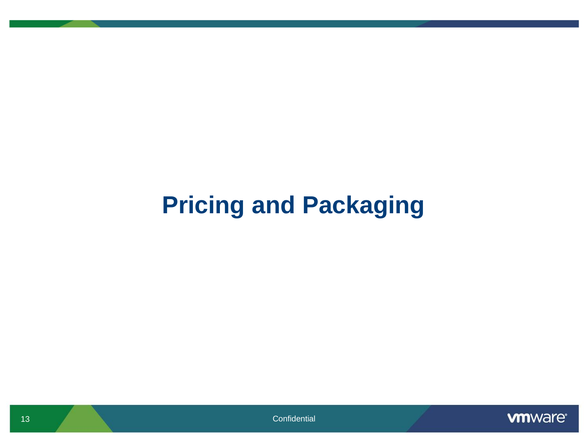# **Pricing and Packaging**

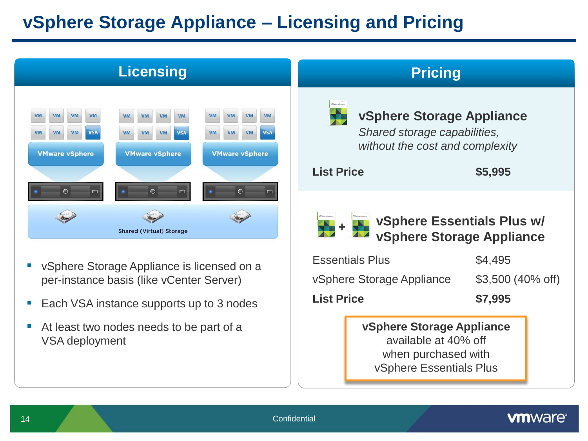## **vSphere Storage Appliance – Licensing and Pricing**



- vSphere Storage Appliance is licensed on a per-instance basis (like vCenter Server)
- Each VSA instance supports up to 3 nodes
- At least two nodes needs to be part of a VSA deployment

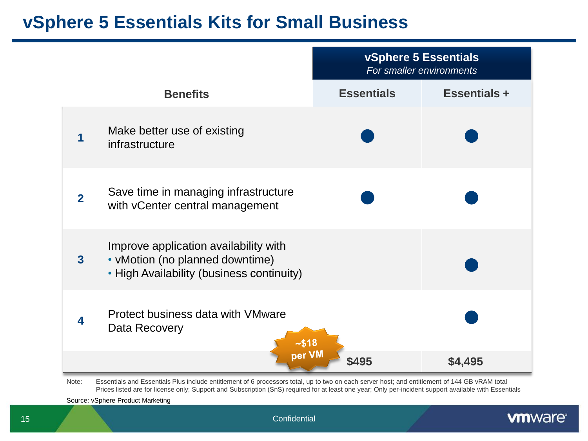### **vSphere 5 Essentials Kits for Small Business**

|                         |                                                                                                                       | vSphere 5 Essentials<br>For smaller environments |                     |
|-------------------------|-----------------------------------------------------------------------------------------------------------------------|--------------------------------------------------|---------------------|
|                         | <b>Benefits</b>                                                                                                       | <b>Essentials</b>                                | <b>Essentials +</b> |
|                         | Make better use of existing<br>infrastructure                                                                         |                                                  |                     |
| $\overline{2}$          | Save time in managing infrastructure<br>with vCenter central management                                               |                                                  |                     |
| $\overline{\mathbf{3}}$ | Improve application availability with<br>• vMotion (no planned downtime)<br>• High Availability (business continuity) |                                                  |                     |
| 4                       | Protect business data with VMware<br>Data Recovery<br>$-$ \$18                                                        |                                                  |                     |
|                         | per VM                                                                                                                | \$495                                            | \$4,495             |

Note: Essentials and Essentials Plus include entitlement of 6 processors total, up to two on each server host; and entitlement of 144 GB vRAM total Prices listed are for license only; Support and Subscription (SnS) required for at least one year; Only per-incident support available with Essentials

Source: vSphere Product Marketing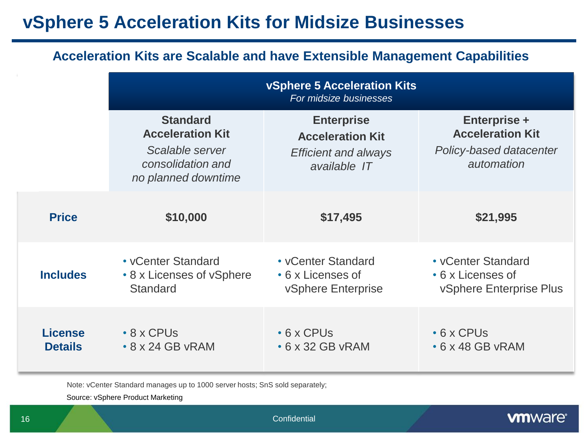### **vSphere 5 Acceleration Kits for Midsize Businesses**

| <b>Acceleration Kits are Scalable and have Extensible Management Capabilities</b> |                                                                                                           |                                                                                             |                                                                                         |  |  |  |  |  |
|-----------------------------------------------------------------------------------|-----------------------------------------------------------------------------------------------------------|---------------------------------------------------------------------------------------------|-----------------------------------------------------------------------------------------|--|--|--|--|--|
|                                                                                   | <b>vSphere 5 Acceleration Kits</b><br>For midsize businesses                                              |                                                                                             |                                                                                         |  |  |  |  |  |
|                                                                                   | <b>Standard</b><br><b>Acceleration Kit</b><br>Scalable server<br>consolidation and<br>no planned downtime | <b>Enterprise</b><br><b>Acceleration Kit</b><br><b>Efficient and always</b><br>available IT | <b>Enterprise +</b><br><b>Acceleration Kit</b><br>Policy-based datacenter<br>automation |  |  |  |  |  |
| <b>Price</b>                                                                      | \$10,000                                                                                                  | \$17,495                                                                                    | \$21,995                                                                                |  |  |  |  |  |
| <b>Includes</b>                                                                   | • vCenter Standard<br>• 8 x Licenses of vSphere<br><b>Standard</b>                                        | • vCenter Standard<br>• 6 x Licenses of<br>vSphere Enterprise                               | • vCenter Standard<br>• 6 x Licenses of<br><b>vSphere Enterprise Plus</b>               |  |  |  |  |  |
| <b>License</b><br><b>Details</b>                                                  | $\cdot$ 8 x CPUs<br>$\cdot$ 8 x 24 GB vRAM                                                                | $\cdot$ 6 x CPUs<br>$\cdot$ 6 x 32 GB vRAM                                                  | $\cdot$ 6 x CPUs<br>$\cdot$ 6 x 48 GB vRAM                                              |  |  |  |  |  |

Note: vCenter Standard manages up to 1000 server hosts; SnS sold separately;

Source: vSphere Product Marketing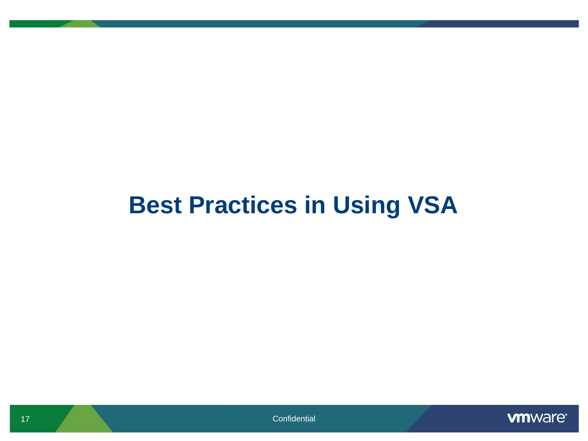# **Best Practices in Using VSA**

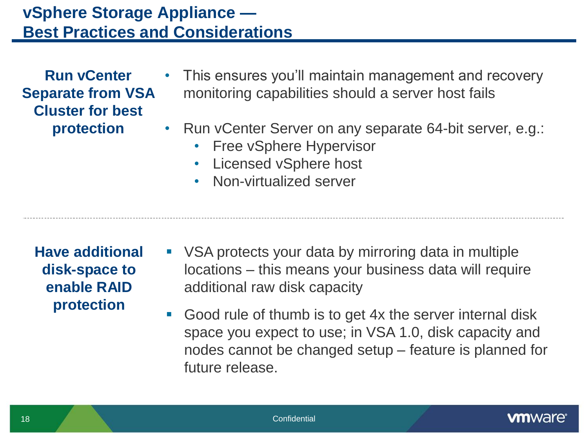### **vSphere Storage Appliance — Best Practices and Considerations**

| <b>Run vCenter</b>       |
|--------------------------|
| <b>Separate from VSA</b> |
| <b>Cluster for best</b>  |
| protection               |

- This ensures you'll maintain management and recovery monitoring capabilities should a server host fails
- Run vCenter Server on any separate 64-bit server, e.g.:
	- Free vSphere Hypervisor
	- Licensed vSphere host
	- Non-virtualized server

- **Have additional disk-space to enable RAID protection**
- VSA protects your data by mirroring data in multiple locations – this means your business data will require additional raw disk capacity
- Good rule of thumb is to get 4x the server internal disk space you expect to use; in VSA 1.0, disk capacity and nodes cannot be changed setup – feature is planned for future release.